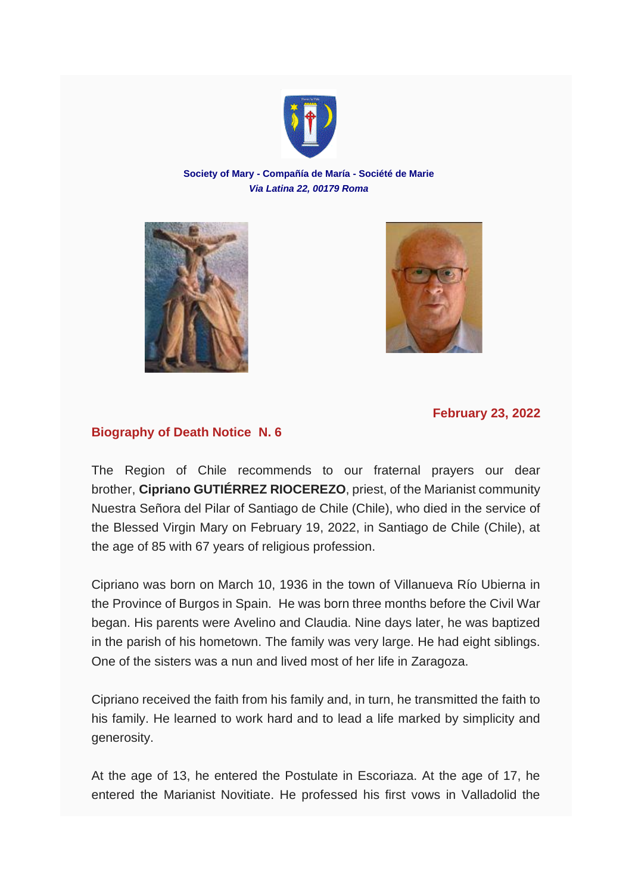

## **Society of Mary - Compañía de María - Société de Marie** *Via Latina 22, 00179 Roma*





## **February 23, 2022**

## **Biography of Death Notice N. 6**

The Region of Chile recommends to our fraternal prayers our dear brother, **Cipriano GUTIÉRREZ RIOCEREZO**, priest, of the Marianist community Nuestra Señora del Pilar of Santiago de Chile (Chile), who died in the service of the Blessed Virgin Mary on February 19, 2022, in Santiago de Chile (Chile), at the age of 85 with 67 years of religious profession.

Cipriano was born on March 10, 1936 in the town of Villanueva Río Ubierna in the Province of Burgos in Spain. He was born three months before the Civil War began. His parents were Avelino and Claudia. Nine days later, he was baptized in the parish of his hometown. The family was very large. He had eight siblings. One of the sisters was a nun and lived most of her life in Zaragoza.

Cipriano received the faith from his family and, in turn, he transmitted the faith to his family. He learned to work hard and to lead a life marked by simplicity and generosity.

At the age of 13, he entered the Postulate in Escoriaza. At the age of 17, he entered the Marianist Novitiate. He professed his first vows in Valladolid the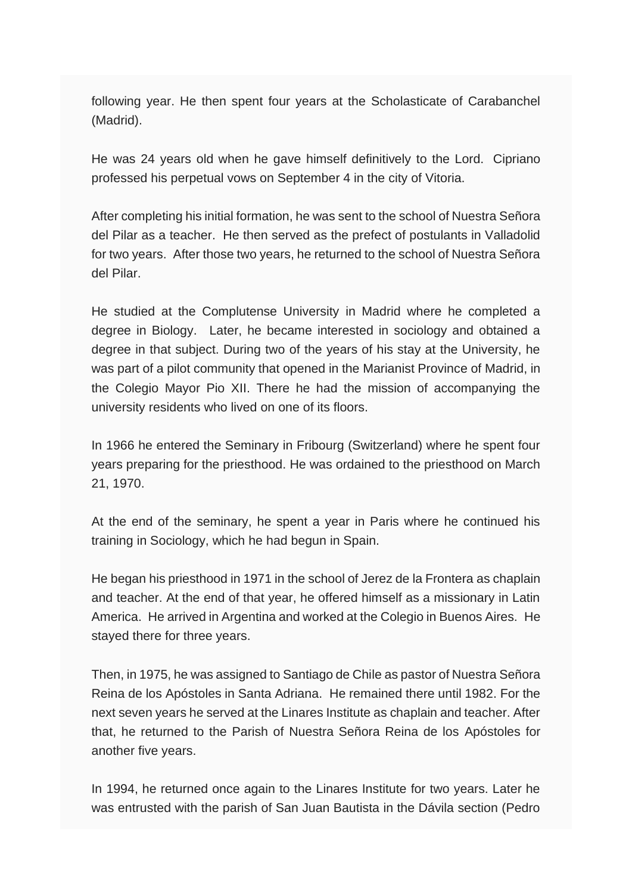following year. He then spent four years at the Scholasticate of Carabanchel (Madrid).

He was 24 years old when he gave himself definitively to the Lord. Cipriano professed his perpetual vows on September 4 in the city of Vitoria.

After completing his initial formation, he was sent to the school of Nuestra Señora del Pilar as a teacher. He then served as the prefect of postulants in Valladolid for two years. After those two years, he returned to the school of Nuestra Señora del Pilar.

He studied at the Complutense University in Madrid where he completed a degree in Biology. Later, he became interested in sociology and obtained a degree in that subject. During two of the years of his stay at the University, he was part of a pilot community that opened in the Marianist Province of Madrid, in the Colegio Mayor Pio XII. There he had the mission of accompanying the university residents who lived on one of its floors.

In 1966 he entered the Seminary in Fribourg (Switzerland) where he spent four years preparing for the priesthood. He was ordained to the priesthood on March 21, 1970.

At the end of the seminary, he spent a year in Paris where he continued his training in Sociology, which he had begun in Spain.

He began his priesthood in 1971 in the school of Jerez de la Frontera as chaplain and teacher. At the end of that year, he offered himself as a missionary in Latin America. He arrived in Argentina and worked at the Colegio in Buenos Aires. He stayed there for three years.

Then, in 1975, he was assigned to Santiago de Chile as pastor of Nuestra Señora Reina de los Apóstoles in Santa Adriana. He remained there until 1982. For the next seven years he served at the Linares Institute as chaplain and teacher. After that, he returned to the Parish of Nuestra Señora Reina de los Apóstoles for another five years.

In 1994, he returned once again to the Linares Institute for two years. Later he was entrusted with the parish of San Juan Bautista in the Dávila section (Pedro